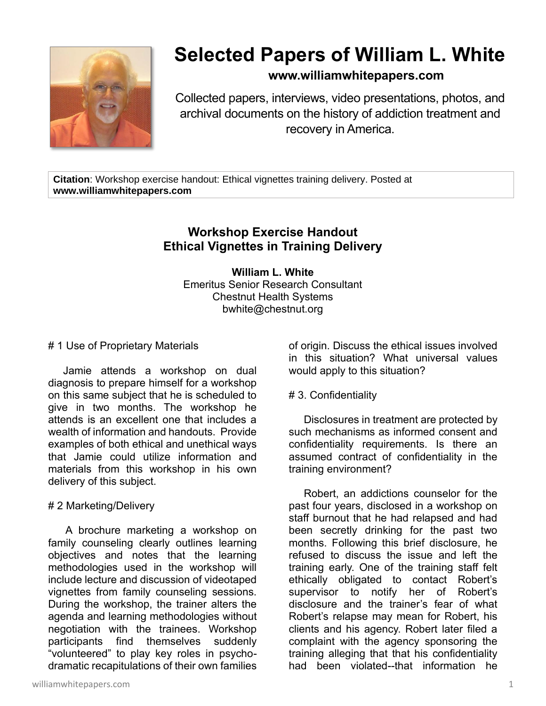

# **Selected Papers of William L. White**

# **www.williamwhitepapers.com**

Collected papers, interviews, video presentations, photos, and archival documents on the history of addiction treatment and recovery in America.

**Citation**: Workshop exercise handout: Ethical vignettes training delivery. Posted at **www.williamwhitepapers.com**

# **Workshop Exercise Handout Ethical Vignettes in Training Delivery**

**William L. White** Emeritus Senior Research Consultant Chestnut Health Systems bwhite@chestnut.org

#### # 1 Use of Proprietary Materials

 Jamie attends a workshop on dual diagnosis to prepare himself for a workshop on this same subject that he is scheduled to give in two months. The workshop he attends is an excellent one that includes a wealth of information and handouts. Provide examples of both ethical and unethical ways that Jamie could utilize information and materials from this workshop in his own delivery of this subject.

#### # 2 Marketing/Delivery

 A brochure marketing a workshop on family counseling clearly outlines learning objectives and notes that the learning methodologies used in the workshop will include lecture and discussion of videotaped vignettes from family counseling sessions. During the workshop, the trainer alters the agenda and learning methodologies without negotiation with the trainees. Workshop participants find themselves suddenly "volunteered" to play key roles in psychodramatic recapitulations of their own families

of origin. Discuss the ethical issues involved in this situation? What universal values would apply to this situation?

## # 3. Confidentiality

 Disclosures in treatment are protected by such mechanisms as informed consent and confidentiality requirements. Is there an assumed contract of confidentiality in the training environment?

 Robert, an addictions counselor for the past four years, disclosed in a workshop on staff burnout that he had relapsed and had been secretly drinking for the past two months. Following this brief disclosure, he refused to discuss the issue and left the training early. One of the training staff felt ethically obligated to contact Robert's supervisor to notify her of Robert's disclosure and the trainer's fear of what Robert's relapse may mean for Robert, his clients and his agency. Robert later filed a complaint with the agency sponsoring the training alleging that that his confidentiality had been violated--that information he